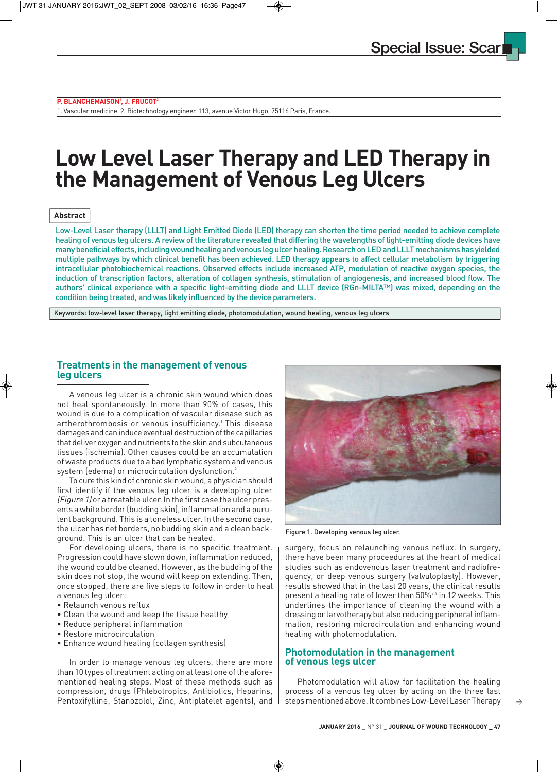#### **P. BLANCHEMAISON1 , J. FRUCOT2**

1. Vascular medicine. 2. Biotechnology engineer. 113, avenue Victor Hugo. 75116 Paris, France.

# **Low Level Laser Therapy and LED Therapy in the Management of Venous Leg Ulcers**

#### **Abstract**

Low-Level Laser therapy (LLLT) and Light Emitted Diode (LED) therapy can shorten the time period needed to achieve complete healing of venous leg ulcers. A review of the literature revealed that differing the wavelengths of light-emitting diode devices have many beneficial effects, including wound healing and venous leg ulcer healing. Research on LED and LLLT mechanisms has yielded multiple pathways by which clinical benefit has been achieved. LED therapy appears to affect cellular metabolism by triggering intracellular photobiochemical reactions. Observed effects include increased ATP, modulation of reactive oxygen species, the induction of transcription factors, alteration of collagen synthesis, stimulation of angiogenesis, and increased blood flow. The authors' clinical experience with a specific light-emitting diode and LLLT device (RGn-MILTA™) was mixed, depending on the condition being treated, and was likely influenced by the device parameters.

Keywords: low-level laser therapy, light emitting diode, photomodulation, wound healing, venous leg ulcers

#### **Treatments in the management of venous leg ulcers**

A venous leg ulcer is a chronic skin wound which does not heal spontaneously. In more than 90% of cases, this wound is due to a complication of vascular disease such as artherothrombosis or venous insufficiency.<sup>1</sup> This disease damages and can induce eventual destruction of the capillaries that deliver oxygen and nutrients to the skin and subcutaneous tissues (ischemia). Other causes could be an accumulation of waste products due to a bad lymphatic system and venous system (edema) or microcirculation dysfunction.<sup>2</sup>

To cure this kind of chronic skin wound, a physician should first identify if the venous leg ulcer is a developing ulcer (Figure 1) or a treatable ulcer. In the first case the ulcer presents a white border (budding skin), inflammation and a purulent background. This is a toneless ulcer. In the second case, the ulcer has net borders, no budding skin and a clean background. This is an ulcer that can be healed.

For developing ulcers, there is no specific treatment. Progression could have slown down, inflammation reduced, the wound could be cleaned. However, as the budding of the skin does not stop, the wound will keep on extending. Then, once stopped, there are five steps to follow in order to heal a venous leg ulcer:

- Relaunch venous reflux
- Clean the wound and keep the tissue healthy
- Reduce peripheral inflammation
- Restore microcirculation
- Enhance wound healing (collagen synthesis)

In order to manage venous leg ulcers, there are more than 10 types of treatment acting on at least one of the aforementioned healing steps. Most of these methods such as compression, drugs (Phlebotropics, Antibiotics, Heparins, Pentoxifylline, Stanozolol, Zinc, Antiplatelet agents), and



Figure 1. Developing venous leg ulcer.

surgery, focus on relaunching venous reflux. In surgery, there have been many proceedures at the heart of medical studies such as endovenous laser treatment and radiofrequency, or deep venous surgery (valvuloplasty). However, results showed that in the last 20 years, the clinical results present a healing rate of lower than 50%<sup>3,4</sup> in 12 weeks. This underlines the importance of cleaning the wound with a dressing or larvotherapy but also reducing peripheral inflammation, restoring microcirculation and enhancing wound healing with photomodulation.

## **Photomodulation in the management of venous legs ulcer**

Photomodulation will allow for facilitation the healing process of a venous leg ulcer by acting on the three last steps mentioned above. It combines Low-Level Laser Therapy

 $\rightarrow$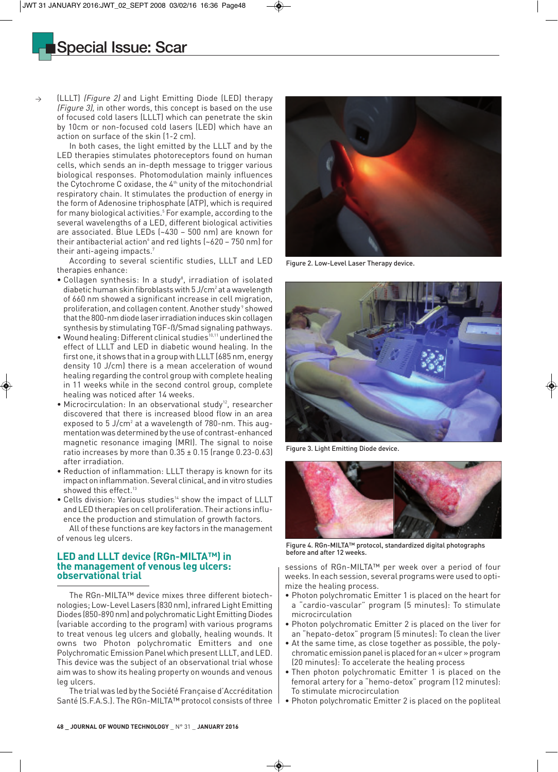# Special Issue: Scar

(LLLT) (Figure 2) and Light Emitting Diode (LED) therapy (Figure 3), in other words, this concept is based on the use of focused cold lasers (LLLT) which can penetrate the skin by 10cm or non-focused cold lasers (LED) which have an action on surface of the skin (1-2 cm).

In both cases, the light emitted by the LLLT and by the LED therapies stimulates photoreceptors found on human cells, which sends an in-depth message to trigger various biological responses. Photomodulation mainly influences the Cytochrome C oxidase, the  $4<sup>th</sup>$  unity of the mitochondrial respiratory chain. It stimulates the production of energy in the form of Adenosine triphosphate (ATP), which is required for many biological activities.<sup>5</sup> For example, according to the several wavelengths of a LED, different biological activities are associated. Blue LEDs (~430 – 500 nm) are known for their antibacterial action and red lights ( $\sim$ 620 – 750 nm) for their anti-ageing impacts.7

According to several scientific studies, LLLT and LED therapies enhance:

- Collagen synthesis: In a study<sup>8</sup>, irradiation of isolated diabetic human skin fibroblasts with  $5 \, \text{J/cm}^2$  at a wavelength of 660 nm showed a significant increase in cell migration, proliferation, and collagen content. Another study<sup>9</sup> showed that the 800-nm diode laser irradiation induces skin collagen synthesis by stimulating TGF-ß/Smad signaling pathways.
- Wound healing: Different clinical studies<sup>10,11</sup> underlined the effect of LLLT and LED in diabetic wound healing. In the first one, it shows that in a group with LLLT (685 nm, energy density 10 J/cm) there is a mean acceleration of wound healing regarding the control group with complete healing in 11 weeks while in the second control group, complete healing was noticed after 14 weeks.
- Microcirculation: In an observational study<sup>12</sup>, researcher discovered that there is increased blood flow in an area exposed to  $5$  J/cm<sup>2</sup> at a wavelength of 780-nm. This augmentation was determined by the use of contrast-enhanced magnetic resonance imaging (MRI). The signal to noise ratio increases by more than  $0.35 \pm 0.15$  (range  $0.23$ -0.63) after irradiation.
- Reduction of inflammation: LLLT therapy is known for its impact on inflammation. Several clinical, and in vitro studies showed this effect.<sup>13</sup>
- Cells division: Various studies<sup>14</sup> show the impact of LLLT and LED therapies on cell proliferation. Their actions influence the production and stimulation of growth factors.

All of these functions are key factors in the management of venous leg ulcers.

### **LED and LLLT device (RGn-MILTA™) in the management of venous leg ulcers: observational trial**

The RGn-MILTA™ device mixes three different biotechnologies; Low-Level Lasers (830 nm), infrared Light Emitting Diodes (850-890 nm) and polychromatic Light Emitting Diodes (variable according to the program) with various programs to treat venous leg ulcers and globally, healing wounds. It owns two Photon polychromatic Emitters and one Polychromatic Emission Panel which present LLLT, and LED. This device was the subject of an observational trial whose aim was to show its healing property on wounds and venous leg ulcers.

The trial was led by the Société Française d'Accréditation Santé (S.F.A.S.). The RGn-MILTA™ protocol consists of three



Figure 2. Low-Level Laser Therapy device.



Figure 3. Light Emitting Diode device.



Figure 4. RGn-MILTA™ protocol, standardized digital photographs before and after 12 weeks.

sessions of RGn-MILTA™ per week over a period of four weeks. In each session, several programs were used to optimize the healing process.

- Photon polychromatic Emitter 1 is placed on the heart for a "cardio-vascular" program (5 minutes): To stimulate microcirculation
- Photon polychromatic Emitter 2 is placed on the liver for an "hepato-detox" program (5 minutes): To clean the liver
- At the same time, as close together as possible, the polychromatic emission panel is placed for an « ulcer » program (20 minutes): To accelerate the healing process
- Then photon polychromatic Emitter 1 is placed on the femoral artery for a "hemo-detox" program (12 minutes): To stimulate microcirculation
- Photon polychromatic Emitter 2 is placed on the popliteal